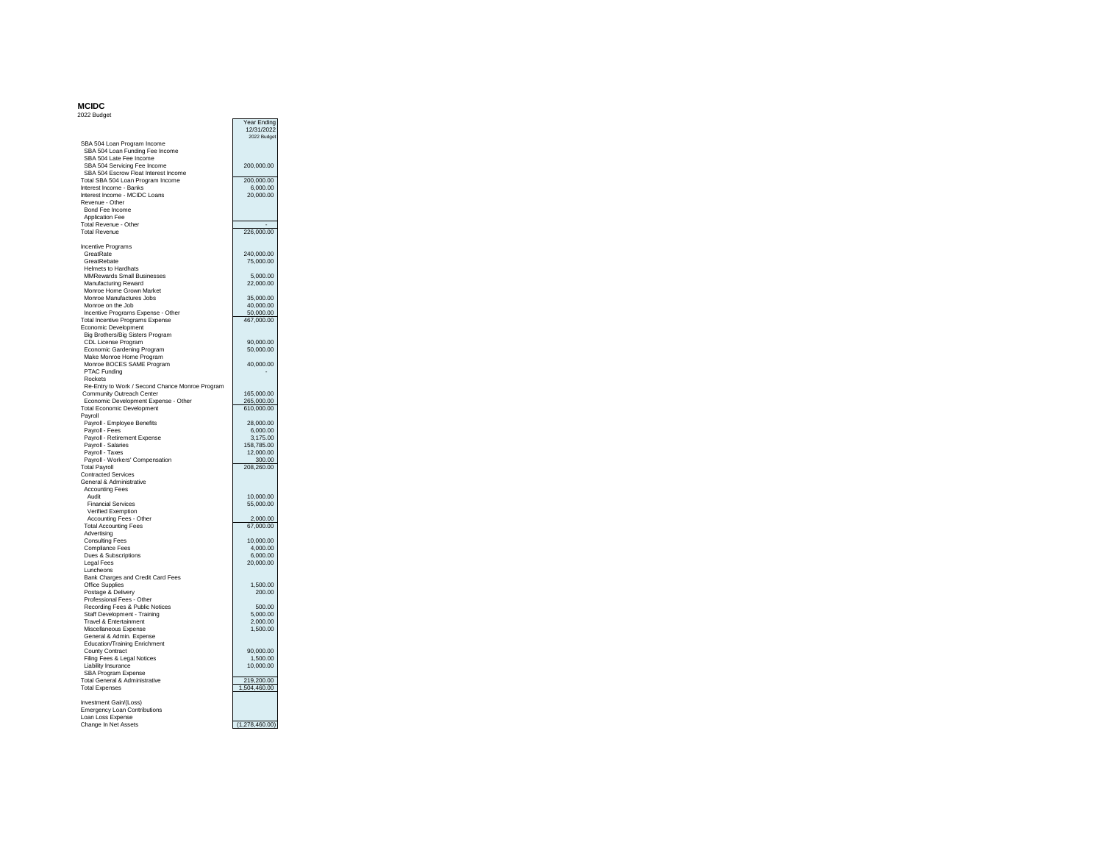## **MCIDC** 2022 Budget

|                                                              | 12/31/2022<br>2022 Budge |
|--------------------------------------------------------------|--------------------------|
| SBA 504 Loan Program Income                                  |                          |
| SBA 504 Loan Funding Fee Income                              |                          |
| SBA 504 Late Fee Income<br>SBA 504 Servicing Fee Income      | 200,000.00               |
| SBA 504 Escrow Float Interest Income                         |                          |
| Total SBA 504 Loan Program Income                            | 200,000.00               |
| Interest Income - Banks                                      | 6,000.00                 |
| Interest Income - MCIDC Loans                                | 20,000.00                |
| Revenue - Other<br>Bond Fee Income                           |                          |
| Application Fee                                              |                          |
| Total Revenue - Other                                        |                          |
| <b>Total Revenue</b>                                         | 226,000.00               |
| <b>Incentive Programs</b>                                    |                          |
| GreatRate                                                    | 240,000.00               |
| GreatRebate                                                  | 75,000.00                |
| Helmets to Hardhats                                          |                          |
| <b>MMRewards Small Businesses</b>                            | 5,000.00                 |
| Manufacturing Reward<br>Monroe Home Grown Market             | 22,000.00                |
| Monroe Manufactures Jobs                                     | 35,000.00                |
| Monroe on the Job                                            | 40,000.00                |
| Incentive Programs Expense - Other                           | 50,000.00                |
| <b>Total Incentive Programs Expense</b>                      | 467,000.00               |
| Economic Development<br>Big Brothers/Big Sisters Program     |                          |
| CDL License Program                                          | 90,000.00                |
| Economic Gardening Program                                   | 50,000.00                |
| Make Monroe Home Program                                     |                          |
| Monroe BOCES SAME Program                                    | 40,000.00                |
| PTAC Funding<br>Rockets                                      |                          |
| Re-Entry to Work / Second Chance Monroe Program              |                          |
| Community Outreach Center                                    | 165,000.00               |
| Economic Development Expense - Other                         | 265,000.00<br>610,000.00 |
| <b>Total Economic Development</b>                            |                          |
| Payroll                                                      |                          |
| Payroll - Employee Benefits<br>Pavroll - Fees                | 28,000.00<br>6,000.00    |
| Payroll - Retirement Expense                                 | 3,175.00                 |
| Payroll - Salaries                                           | 158,785.00               |
| Payroll - Taxes                                              | 12,000.00                |
| Payroll - Workers' Compensation<br><b>Total Payroll</b>      | 300.00<br>208,260.00     |
| <b>Contracted Services</b>                                   |                          |
| General & Administrative                                     |                          |
| <b>Accounting Fees</b>                                       |                          |
| Audit                                                        | 10,000.00                |
| <b>Financial Services</b><br>Verified Exemption              | 55,000.00                |
| Accounting Fees - Other                                      |                          |
| <b>Total Accounting Fees</b>                                 | 2,000.00<br>67,000.00    |
| Advertising                                                  |                          |
| <b>Consulting Fees</b>                                       | 10,000.00                |
| <b>Compliance Fees</b>                                       | 4,000.00                 |
| Dues & Subscriptions<br><b>Legal Fees</b>                    | 6,000.00<br>20,000.00    |
| Luncheons                                                    |                          |
| Bank Charges and Credit Card Fees                            |                          |
| Office Supplies                                              | 1,500.00                 |
| Postage & Delivery                                           | 200.00                   |
| Professional Fees - Other<br>Recording Fees & Public Notices | 500.00                   |
| Staff Development - Training                                 | 5,000.00                 |
| Travel & Entertainment                                       | 2,000.00                 |
| Miscellaneous Expense                                        | 1,500.00                 |
| General & Admin. Expense                                     |                          |
| Education/Training Enrichment                                |                          |
| County Contract<br>Filing Fees & Legal Notices               | 90,000.00<br>1,500.00    |
| Liability Insurance                                          | 10,000.00                |
| SBA Program Expense                                          |                          |
| Total General & Administrative                               | 219,200.00               |
| <b>Total Expenses</b>                                        | 1,504,460.00             |
| Investment Gain/(Loss)                                       |                          |
| Emergency Loan Contributions                                 |                          |

Investment Gain/(Loss)<br>
Emergency Loan Contributions<br>
Loan Loss Expense<br>
Change In Net Assets<br>
Change In Net Assets

Year Ending 12/31/2022 2022 Budget

| 10.000.00    |  |
|--------------|--|
| 219,200.00   |  |
| 1.504.460.00 |  |
|              |  |
|              |  |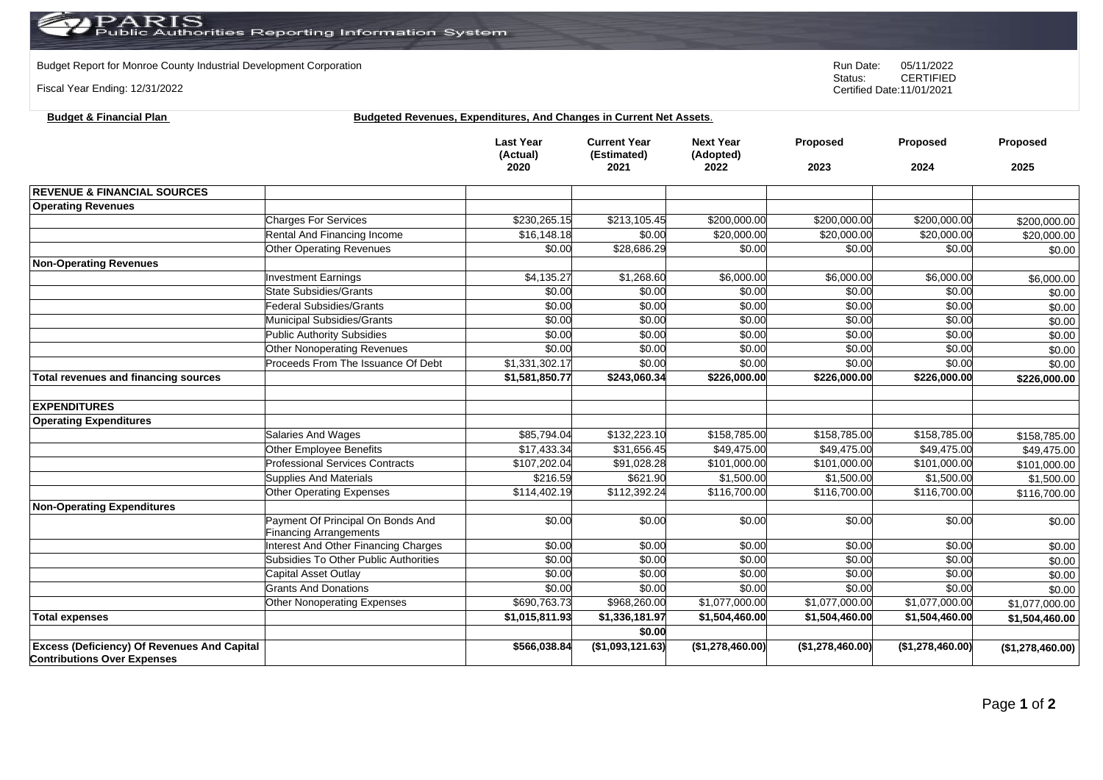## RIS z ublic Authorities Reporting Information System

**Budget & Financial Plan Budgeted Revenues, Expenditures, And Changes in Current Net Assets**.

Budget Report for Monroe County Industrial Development Corporation **Run Date:** 05/11/2022<br>
Status: CERTIFIED

Fiscal Year Ending: 12/31/2022

**Excess (Deficiency) Of Revenues And Capital** 

**Contributions Over Expenses**

**CERTIFIED** Certified Date:11/01/2021

|                                             |                                                                    | Last Year<br>(Actual)<br>2020 | <b>Current Year</b><br>(Estimated)<br>2021 | <b>Next Year</b><br>(Adopted)<br>2022 | Proposed<br>2023 | Proposed<br>2024 | Proposed<br>2025 |
|---------------------------------------------|--------------------------------------------------------------------|-------------------------------|--------------------------------------------|---------------------------------------|------------------|------------------|------------------|
| <b>REVENUE &amp; FINANCIAL SOURCES</b>      |                                                                    |                               |                                            |                                       |                  |                  |                  |
| <b>Operating Revenues</b>                   |                                                                    |                               |                                            |                                       |                  |                  |                  |
|                                             | <b>Charges For Services</b>                                        | \$230,265.15                  | \$213,105.45                               | \$200,000.00                          | \$200,000.00     | \$200,000.00     | \$200,000.00     |
|                                             | Rental And Financing Income                                        | \$16,148.18                   | \$0.00                                     | \$20,000.00                           | \$20,000.00      | \$20,000.00      | \$20,000.00      |
|                                             | <b>Other Operating Revenues</b>                                    | \$0.00                        | \$28,686.29                                | \$0.00                                | \$0.00           | \$0.00           | \$0.00           |
| <b>Non-Operating Revenues</b>               |                                                                    |                               |                                            |                                       |                  |                  |                  |
|                                             | <b>Investment Earnings</b>                                         | \$4,135.27                    | \$1,268,60                                 | \$6,000.00                            | \$6,000.00       | \$6,000.00       | \$6,000.00       |
|                                             | State Subsidies/Grants                                             | \$0.00                        | \$0.00                                     | \$0.00                                | \$0.00           | \$0.00           | \$0.00           |
|                                             | <b>Federal Subsidies/Grants</b>                                    | \$0.00                        | \$0.00                                     | \$0.00                                | \$0.00           | \$0.00           | \$0.00           |
|                                             | Municipal Subsidies/Grants                                         | \$0.00                        | \$0.00                                     | \$0.00                                | \$0.00           | \$0.00           | \$0.00           |
|                                             | <b>Public Authority Subsidies</b>                                  | \$0.00                        | \$0.00                                     | \$0.00                                | \$0.00           | \$0.00           | \$0.00           |
|                                             | <b>Other Nonoperating Revenues</b>                                 | \$0.00                        | \$0.00                                     | \$0.00                                | \$0.00           | \$0.00           | \$0.00           |
|                                             | Proceeds From The Issuance Of Debt                                 | \$1,331,302.17                | \$0.00                                     | \$0.00                                | \$0.00           | \$0.00           | \$0.00           |
| <b>Total revenues and financing sources</b> |                                                                    | \$1,581,850.77                | \$243,060.34                               | \$226,000.00                          | \$226,000.00     | \$226,000.00     | \$226,000.00     |
| <b>EXPENDITURES</b>                         |                                                                    |                               |                                            |                                       |                  |                  |                  |
| <b>Operating Expenditures</b>               |                                                                    |                               |                                            |                                       |                  |                  |                  |
|                                             | Salaries And Wages                                                 | \$85,794.04                   | \$132,223.10                               | \$158,785.00                          | \$158,785.00     | \$158,785.00     | \$158,785.00     |
|                                             | <b>Other Employee Benefits</b>                                     | \$17,433.34                   | \$31,656.45                                | \$49,475.00                           | \$49,475.00      | \$49,475.00      | \$49,475.00      |
|                                             | Professional Services Contracts                                    | \$107,202.04                  | \$91,028.28                                | \$101,000.00                          | \$101,000.00     | \$101,000.00     | \$101,000.00     |
|                                             | <b>Supplies And Materials</b>                                      | \$216.59                      | \$621.90                                   | \$1,500.00                            | \$1,500.00       | \$1,500.00       | \$1,500.00       |
|                                             | <b>Other Operating Expenses</b>                                    | \$114,402.19                  | \$112,392.24                               | \$116,700.00                          | \$116,700.00     | \$116,700.00     | \$116,700.00     |
| <b>Non-Operating Expenditures</b>           |                                                                    |                               |                                            |                                       |                  |                  |                  |
|                                             | Payment Of Principal On Bonds And<br><b>Financing Arrangements</b> | \$0.00                        | \$0.00                                     | \$0.00                                | \$0.00           | \$0.00           | \$0.00           |
|                                             | <b>Interest And Other Financing Charges</b>                        | \$0.00                        | \$0.00                                     | \$0.00                                | \$0.00           | \$0.00           | \$0.00           |
|                                             | Subsidies To Other Public Authorities                              | \$0.00                        | \$0.00                                     | \$0.00                                | \$0.00           | \$0.00           | \$0.00           |
|                                             | Capital Asset Outlay                                               | \$0.00                        | \$0.00                                     | \$0.00                                | \$0.00           | \$0.00           | \$0.00           |
|                                             | <b>Grants And Donations</b>                                        | \$0.00                        | \$0.00                                     | \$0.00                                | \$0.00           | \$0.00           | \$0.00           |

**Total expenses \$1,015,811.93 \$1,336,181.97 \$1,504,460.00 \$1,504,460.00 \$1,504,460.00 \$1,504,460.00**

Other Nonoperating Expenses **\$690,763.73** \$968,260.00 \$1,077,000.00 \$1,077,000.00 \$1,077,000.00 \$1,077,000.00

**\$566,038.84 (\$1,093,121.63) (\$1,278,460.00) (\$1,278,460.00) (\$1,278,460.00) (\$1,278,460.00)**

**\$0.00**